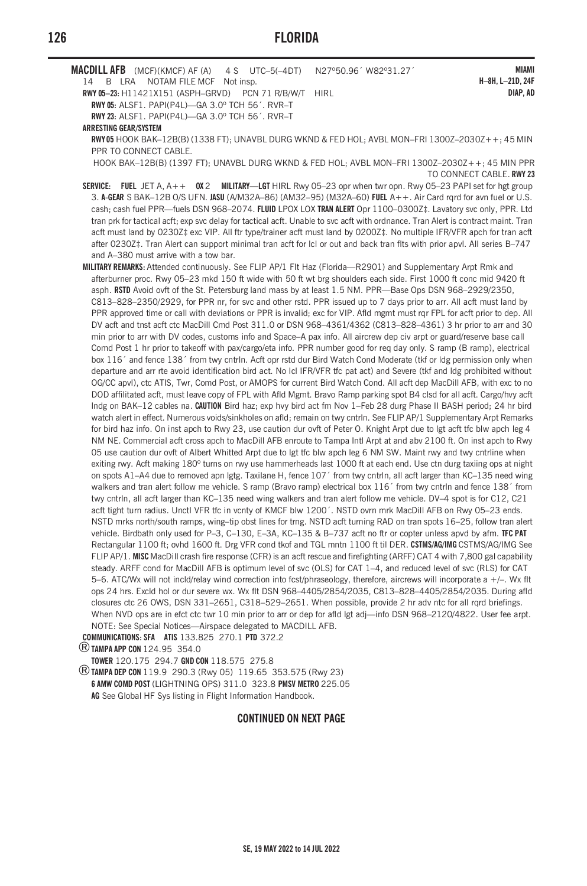| <b>MACDILL AFB</b> (MCF)(KMCF) AF (A)<br>4 S UTC-5(-4DT)                                                                                                                                                                                   | N27°50.96' W82°31.27'                                                          | <b>MIAMI</b>     |
|--------------------------------------------------------------------------------------------------------------------------------------------------------------------------------------------------------------------------------------------|--------------------------------------------------------------------------------|------------------|
| NOTAM FILE MCF Not insp.<br>14<br>B LRA                                                                                                                                                                                                    |                                                                                | H-8H, L-21D, 24F |
| RWY 05-23: H11421X151 (ASPH-GRVD)<br>PCN 71 R/B/W/T                                                                                                                                                                                        | <b>HIRL</b>                                                                    | DIAP, AD         |
| RWY 05: ALSF1. PAPI(P4L)-GA 3.0° TCH 56'. RVR-T                                                                                                                                                                                            |                                                                                |                  |
| RWY 23: ALSF1. PAPI(P4L)-GA 3.0° TCH 56'. RVR-T                                                                                                                                                                                            |                                                                                |                  |
| <b>ARRESTING GEAR/SYSTEM</b><br>RWY05 HOOK BAK-12B(B) (1338 FT); UNAVBL DURG WKND & FED HOL; AVBL MON-FRI 1300Z-2030Z++; 45 MIN                                                                                                            |                                                                                |                  |
| PPR TO CONNECT CABLE.                                                                                                                                                                                                                      |                                                                                |                  |
| HOOK BAK-12B(B) (1397 FT); UNAVBL DURG WKND & FED HOL; AVBL MON-FRI 1300Z-2030Z++; 45 MIN PPR                                                                                                                                              |                                                                                |                  |
| TO CONNECT CABLE. RWY 23                                                                                                                                                                                                                   |                                                                                |                  |
| SERVICE:<br><b>FUEL</b> JET A, $A++$<br>0X <sub>2</sub>                                                                                                                                                                                    | MILITARY-LGT HIRL Rwy 05-23 opr when twr opn. Rwy 05-23 PAPI set for hgt group |                  |
| 3. A-GEAR S BAK-12B O/S UFN. JASU (A/M32A-86) (AM32-95) (M32A-60) FUEL A++. Air Card rgrd for avn fuel or U.S.                                                                                                                             |                                                                                |                  |
| cash; cash fuel PPR-fuels DSN 968-2074. FLUID LPOX LOX TRAN ALERT Opr 1100-0300Z‡. Lavatory svc only, PPR. Ltd                                                                                                                             |                                                                                |                  |
| tran prk for tactical acft; exp svc delay for tactical acft. Unable to svc acft with ordnance. Tran Alert is contract maint. Tran                                                                                                          |                                                                                |                  |
| acft must land by 0230Z‡ exc VIP. All ftr type/trainer acft must land by 0200Z‡. No multiple IFR/VFR apch for tran acft                                                                                                                    |                                                                                |                  |
| after 0230Z‡. Tran Alert can support minimal tran acft for IcI or out and back tran fits with prior apvl. All series B-747                                                                                                                 |                                                                                |                  |
| and A-380 must arrive with a tow bar.                                                                                                                                                                                                      |                                                                                |                  |
| MILITARY REMARKS: Attended continuously. See FLIP AP/1 FIt Haz (Florida-R2901) and Supplementary Arpt Rmk and<br>afterburner proc. Rwy 05-23 mkd 150 ft wide with 50 ft wt brg shoulders each side. First 1000 ft conc mid 9420 ft         |                                                                                |                  |
| asph. RSTD Avoid ovft of the St. Petersburg land mass by at least 1.5 NM. PPR-Base Ops DSN 968-2929/2350,                                                                                                                                  |                                                                                |                  |
| C813-828-2350/2929, for PPR nr, for svc and other rstd. PPR issued up to 7 days prior to arr. All acft must land by                                                                                                                        |                                                                                |                  |
| PPR approved time or call with deviations or PPR is invalid; exc for VIP. Afld mgmt must rqr FPL for acft prior to dep. All                                                                                                                |                                                                                |                  |
| DV acft and tnst acft ctc MacDill Cmd Post 311.0 or DSN 968-4361/4362 (C813-828-4361) 3 hr prior to arr and 30                                                                                                                             |                                                                                |                  |
| min prior to arr with DV codes, customs info and Space–A pax info. All aircrew dep civ arpt or guard/reserve base call                                                                                                                     |                                                                                |                  |
| Comd Post 1 hr prior to takeoff with pax/cargo/eta info. PPR number good for req day only. S ramp (B ramp), electrical                                                                                                                     |                                                                                |                  |
| box 116' and fence 138' from twy cntrln. Acft opr rstd dur Bird Watch Cond Moderate (tkf or Idg permission only when                                                                                                                       |                                                                                |                  |
| departure and arr rte avoid identification bird act. No Icl IFR/VFR tfc pat act) and Severe (tkf and Idg prohibited without                                                                                                                |                                                                                |                  |
| OG/CC apvl), ctc ATIS, Twr, Comd Post, or AMOPS for current Bird Watch Cond. All acft dep MacDill AFB, with exc to no                                                                                                                      |                                                                                |                  |
| DOD affilitated acft, must leave copy of FPL with Afld Mgmt. Bravo Ramp parking spot B4 clsd for all acft. Cargo/hvy acft                                                                                                                  |                                                                                |                  |
| Indg on BAK-12 cables na. CAUTION Bird haz; exp hvy bird act fm Nov 1-Feb 28 durg Phase II BASH period; 24 hr bird                                                                                                                         |                                                                                |                  |
| watch alert in effect. Numerous voids/sinkholes on afld; remain on twy cntrln. See FLIP AP/1 Supplementary Arpt Remarks                                                                                                                    |                                                                                |                  |
| for bird haz info. On inst apch to Rwy 23, use caution dur ovft of Peter O. Knight Arpt due to lgt acft tfc blw apch leg 4                                                                                                                 |                                                                                |                  |
| NM NE. Commercial acft cross apch to MacDill AFB enroute to Tampa Intl Arpt at and abv 2100 ft. On inst apch to Rwy<br>05 use caution dur ovft of Albert Whitted Arpt due to lgt tfc blw apch leg 6 NM SW. Maint rwy and twy cntrline when |                                                                                |                  |
| exiting rwy. Acft making 180° turns on rwy use hammerheads last 1000 ft at each end. Use ctn durg taxiing ops at night                                                                                                                     |                                                                                |                  |
| on spots A1-A4 due to removed apn Igtg. Taxilane H, fence 107' from twy cntrln, all acft larger than KC-135 need wing                                                                                                                      |                                                                                |                  |
| walkers and tran alert follow me vehicle. S ramp (Bravo ramp) electrical box 116' from twy cntrln and fence 138' from                                                                                                                      |                                                                                |                  |
| twy cntrln, all acft larger than KC-135 need wing walkers and tran alert follow me vehicle. DV-4 spot is for C12, C21                                                                                                                      |                                                                                |                  |
| acft tight turn radius. Unctl VFR tfc in vcnty of KMCF blw 1200'. NSTD ovrn mrk MacDill AFB on Rwy 05-23 ends.                                                                                                                             |                                                                                |                  |
| NSTD mrks north/south ramps, wing-tip obst lines for trng. NSTD acft turning RAD on tran spots 16-25, follow tran alert                                                                                                                    |                                                                                |                  |
| vehicle. Birdbath only used for P-3, C-130, E-3A, KC-135 & B-737 acft no ftr or copter unless apvd by afm. TFC PAT                                                                                                                         |                                                                                |                  |
| Rectangular 1100 ft; ovhd 1600 ft. Drg VFR cond tkof and TGL mntn 1100 ft til DER. CSTMS/AG/IMG CSTMS/AG/IMG See                                                                                                                           |                                                                                |                  |
| FLIP AP/1. MISC MacDill crash fire response (CFR) is an acft rescue and firefighting (ARFF) CAT 4 with 7,800 gal capability                                                                                                                |                                                                                |                  |
| steady. ARFF cond for MacDill AFB is optimum level of svc (OLS) for CAT 1-4, and reduced level of svc (RLS) for CAT                                                                                                                        |                                                                                |                  |
| 5-6. ATC/Wx will not incld/relay wind correction into fcst/phraseology, therefore, aircrews will incorporate a +/-. Wx flt                                                                                                                 |                                                                                |                  |
| ops 24 hrs. Excld hol or dur severe wx. Wx flt DSN 968-4405/2854/2035, C813-828-4405/2854/2035. During afld                                                                                                                                |                                                                                |                  |
| closures ctc 26 OWS, DSN 331-2651, C318-529-2651. When possible, provide 2 hr adv ntc for all rqrd briefings.                                                                                                                              |                                                                                |                  |
| When NVD ops are in efct ctc twr 10 min prior to arr or dep for afld lgt adj—info DSN 968-2120/4822. User fee arpt.                                                                                                                        |                                                                                |                  |
| NOTE: See Special Notices-Airspace delegated to MACDILL AFB.<br>COMMUNICATIONS: SFA  ATIS 133.825  270.1 PTD 372.2                                                                                                                         |                                                                                |                  |
| <b>E TAMPA APP CON</b> 124.95 354.0                                                                                                                                                                                                        |                                                                                |                  |
| TOWER 120.175 294.7 GND CON 118.575 275.8                                                                                                                                                                                                  |                                                                                |                  |
| (B) TAMPA DEP CON 119.9 290.3 (Rwy 05) 119.65 353.575 (Rwy 23)                                                                                                                                                                             |                                                                                |                  |
| 6 AMW COMD POST (LIGHTNING OPS) 311.0 323.8 PMSV METRO 225.05                                                                                                                                                                              |                                                                                |                  |
| AG See Global HF Sys listing in Flight Information Handbook.                                                                                                                                                                               |                                                                                |                  |

## **CONTINUED ON NEXT PAGE**